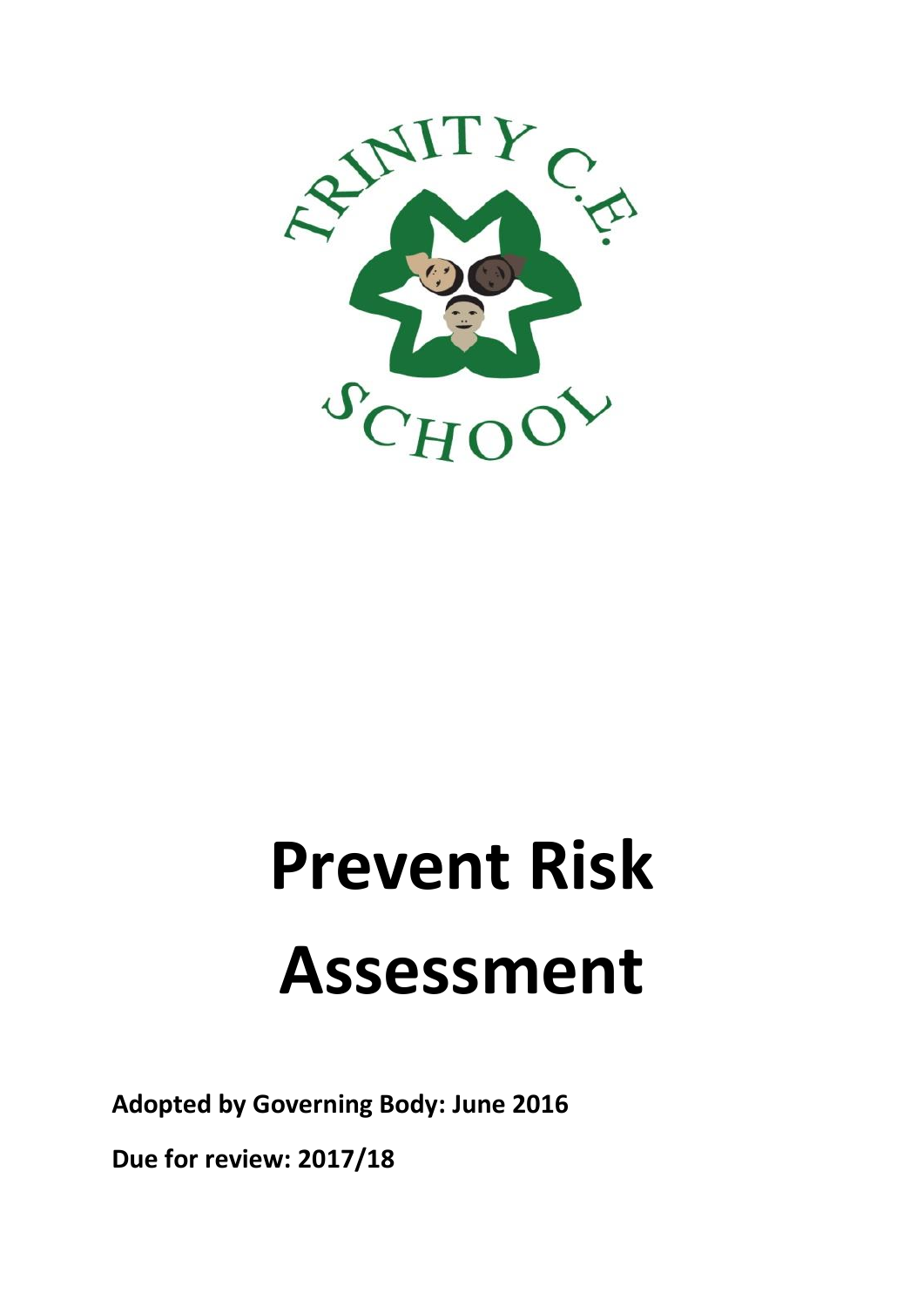

# **Prevent Risk Assessment**

**Adopted by Governing Body: June 2016**

**Due for review: 2017/18**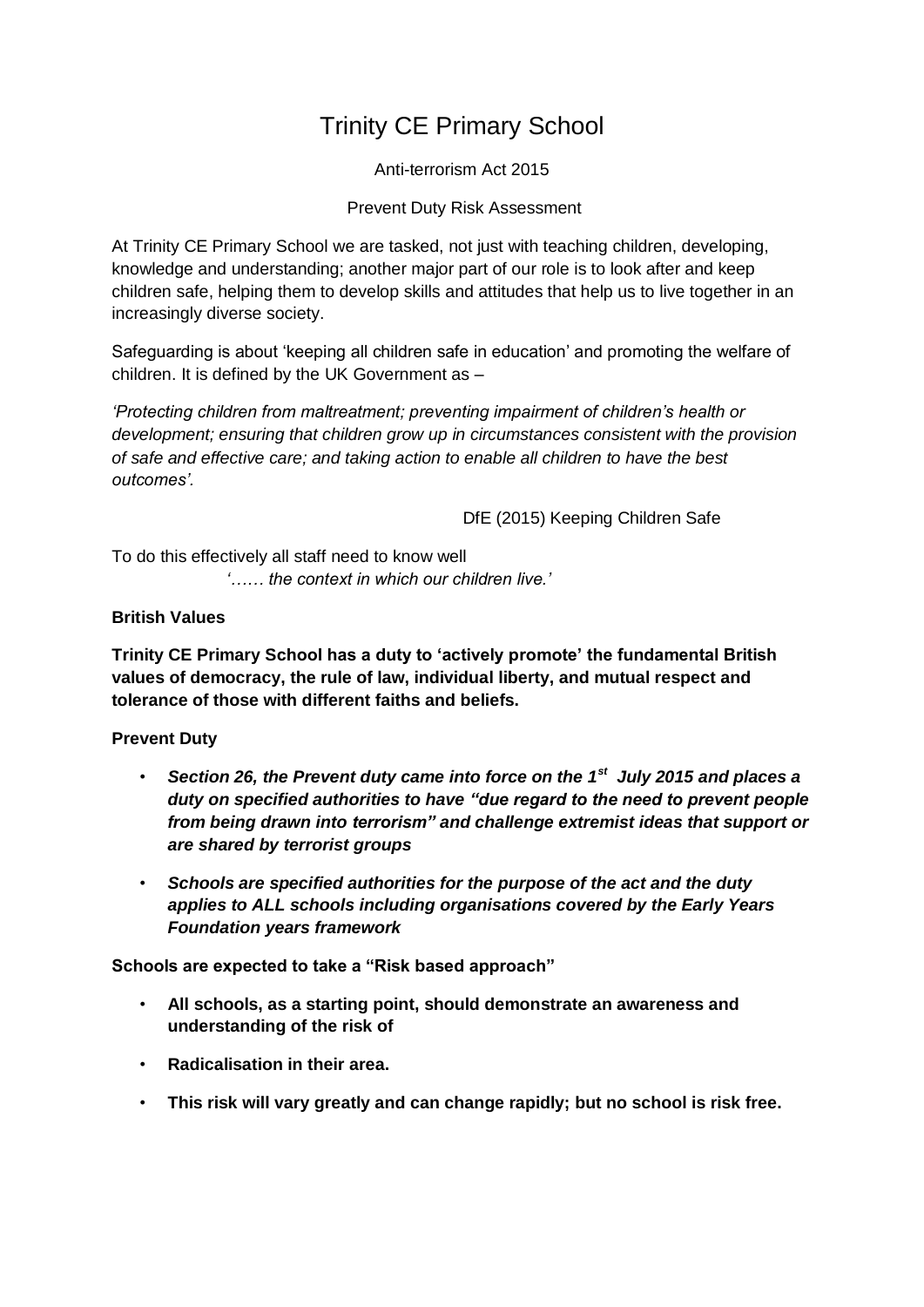# Trinity CE Primary School

Anti-terrorism Act 2015

Prevent Duty Risk Assessment

At Trinity CE Primary School we are tasked, not just with teaching children, developing, knowledge and understanding; another major part of our role is to look after and keep children safe, helping them to develop skills and attitudes that help us to live together in an increasingly diverse society.

Safeguarding is about 'keeping all children safe in education' and promoting the welfare of children. It is defined by the UK Government as –

*'Protecting children from maltreatment; preventing impairment of children's health or development; ensuring that children grow up in circumstances consistent with the provision of safe and effective care; and taking action to enable all children to have the best outcomes'.* 

DfE (2015) Keeping Children Safe

To do this effectively all staff need to know well *'…… the context in which our children live.'*

### **British Values**

**Trinity CE Primary School has a duty to 'actively promote' the fundamental British values of democracy, the rule of law, individual liberty, and mutual respect and tolerance of those with different faiths and beliefs.**

## **Prevent Duty**

- *Section 26, the Prevent duty came into force on the 1st July 2015 and places a duty on specified authorities to have "due regard to the need to prevent people from being drawn into terrorism" and challenge extremist ideas that support or are shared by terrorist groups*
- *Schools are specified authorities for the purpose of the act and the duty applies to ALL schools including organisations covered by the Early Years Foundation years framework*

**Schools are expected to take a "Risk based approach"**

- **All schools, as a starting point, should demonstrate an awareness and understanding of the risk of**
- **Radicalisation in their area.**
- **This risk will vary greatly and can change rapidly; but no school is risk free.**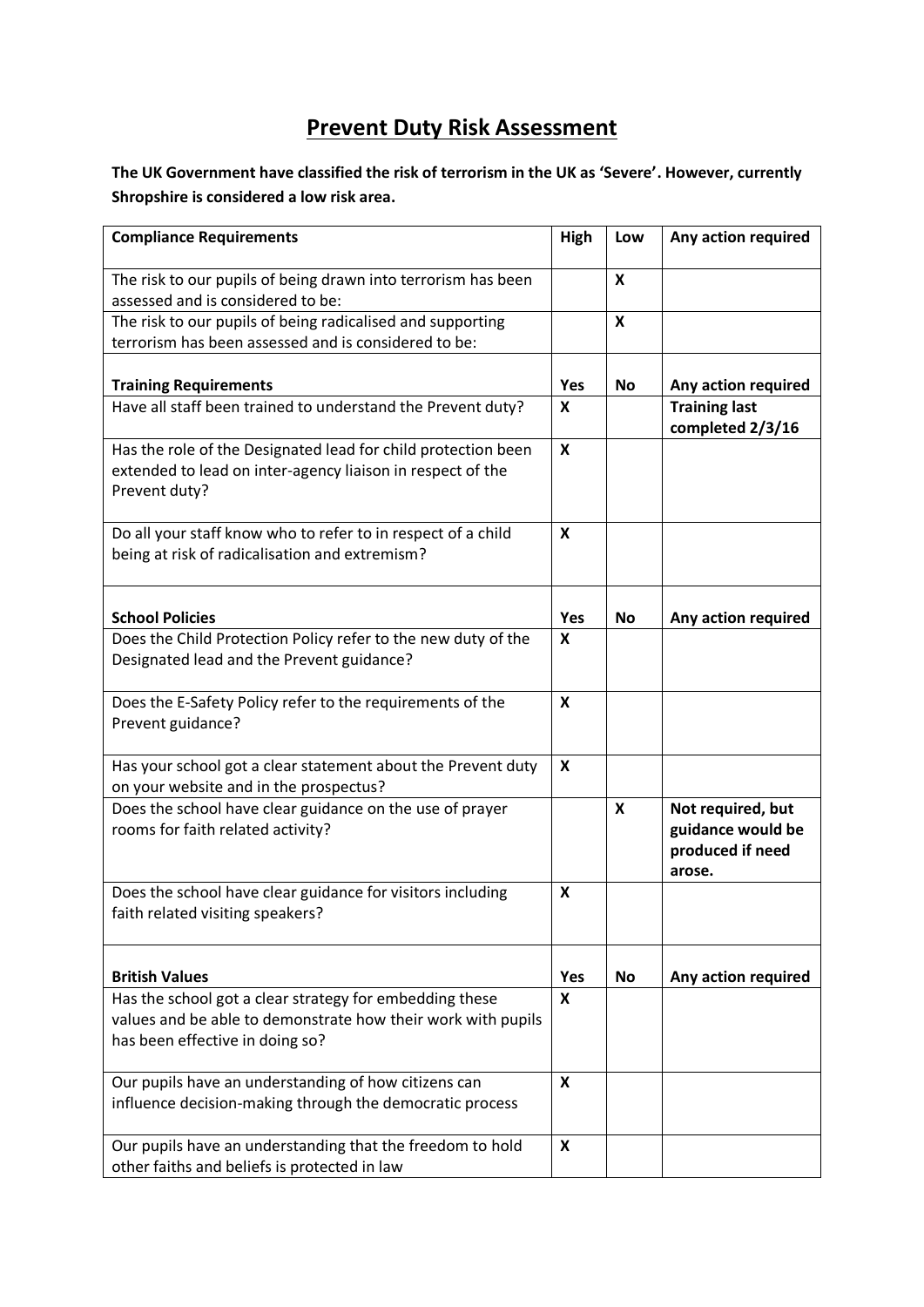## **Prevent Duty Risk Assessment**

**The UK Government have classified the risk of terrorism in the UK as 'Severe'. However, currently Shropshire is considered a low risk area.**

| <b>Compliance Requirements</b>                                                                                                                             | High | Low                       | Any action required                                                  |
|------------------------------------------------------------------------------------------------------------------------------------------------------------|------|---------------------------|----------------------------------------------------------------------|
| The risk to our pupils of being drawn into terrorism has been<br>assessed and is considered to be:                                                         |      | $\boldsymbol{\mathsf{x}}$ |                                                                      |
| The risk to our pupils of being radicalised and supporting                                                                                                 |      | X                         |                                                                      |
| terrorism has been assessed and is considered to be:                                                                                                       |      |                           |                                                                      |
|                                                                                                                                                            |      |                           |                                                                      |
| <b>Training Requirements</b>                                                                                                                               | Yes  | No                        | Any action required                                                  |
| Have all staff been trained to understand the Prevent duty?                                                                                                | X    |                           | <b>Training last</b><br>completed 2/3/16                             |
| Has the role of the Designated lead for child protection been<br>extended to lead on inter-agency liaison in respect of the<br>Prevent duty?               | X    |                           |                                                                      |
| Do all your staff know who to refer to in respect of a child<br>being at risk of radicalisation and extremism?                                             | X    |                           |                                                                      |
| <b>School Policies</b>                                                                                                                                     | Yes  | No                        | Any action required                                                  |
| Does the Child Protection Policy refer to the new duty of the<br>Designated lead and the Prevent guidance?                                                 | X    |                           |                                                                      |
| Does the E-Safety Policy refer to the requirements of the<br>Prevent guidance?                                                                             | X    |                           |                                                                      |
| Has your school got a clear statement about the Prevent duty<br>on your website and in the prospectus?                                                     | X    |                           |                                                                      |
| Does the school have clear guidance on the use of prayer<br>rooms for faith related activity?                                                              |      | X                         | Not required, but<br>guidance would be<br>produced if need<br>arose. |
| Does the school have clear guidance for visitors including<br>faith related visiting speakers?                                                             | X    |                           |                                                                      |
| <b>British Values</b>                                                                                                                                      | Yes  | <b>No</b>                 | Any action required                                                  |
| Has the school got a clear strategy for embedding these<br>values and be able to demonstrate how their work with pupils<br>has been effective in doing so? | X    |                           |                                                                      |
| Our pupils have an understanding of how citizens can<br>influence decision-making through the democratic process                                           | X    |                           |                                                                      |
| Our pupils have an understanding that the freedom to hold<br>other faiths and beliefs is protected in law                                                  | X    |                           |                                                                      |